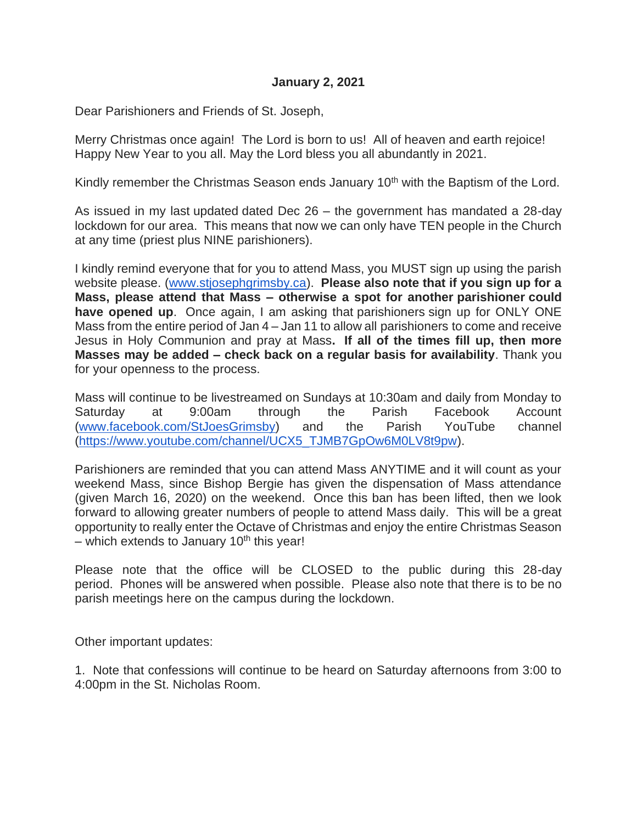## **January 2, 2021**

Dear Parishioners and Friends of St. Joseph,

Merry Christmas once again! The Lord is born to us! All of heaven and earth rejoice! Happy New Year to you all. May the Lord bless you all abundantly in 2021.

Kindly remember the Christmas Season ends January  $10<sup>th</sup>$  with the Baptism of the Lord.

As issued in my last updated dated Dec 26 – the government has mandated a 28-day lockdown for our area. This means that now we can only have TEN people in the Church at any time (priest plus NINE parishioners).

I kindly remind everyone that for you to attend Mass, you MUST sign up using the parish website please. [\(www.stjosephgrimsby.ca\)](http://www.stjosephgrimsby.ca/). **Please also note that if you sign up for a Mass, please attend that Mass – otherwise a spot for another parishioner could have opened up**. Once again, I am asking that parishioners sign up for ONLY ONE Mass from the entire period of Jan 4 – Jan 11 to allow all parishioners to come and receive Jesus in Holy Communion and pray at Mass**. If all of the times fill up, then more Masses may be added – check back on a regular basis for availability**. Thank you for your openness to the process.

Mass will continue to be livestreamed on Sundays at 10:30am and daily from Monday to Saturday at 9:00am through the Parish Facebook Account [\(www.facebook.com/StJoesGrimsby\)](http://www.facebook.com/StJoesGrimsby) and the Parish YouTube channel [\(https://www.youtube.com/channel/UCX5\\_TJMB7GpOw6M0LV8t9pw\)](https://www.youtube.com/channel/UCX5_TJMB7GpOw6M0LV8t9pw).

Parishioners are reminded that you can attend Mass ANYTIME and it will count as your weekend Mass, since Bishop Bergie has given the dispensation of Mass attendance (given March 16, 2020) on the weekend. Once this ban has been lifted, then we look forward to allowing greater numbers of people to attend Mass daily. This will be a great opportunity to really enter the Octave of Christmas and enjoy the entire Christmas Season – which extends to January 10<sup>th</sup> this year!

Please note that the office will be CLOSED to the public during this 28-day period. Phones will be answered when possible. Please also note that there is to be no parish meetings here on the campus during the lockdown.

Other important updates:

1. Note that confessions will continue to be heard on Saturday afternoons from 3:00 to 4:00pm in the St. Nicholas Room.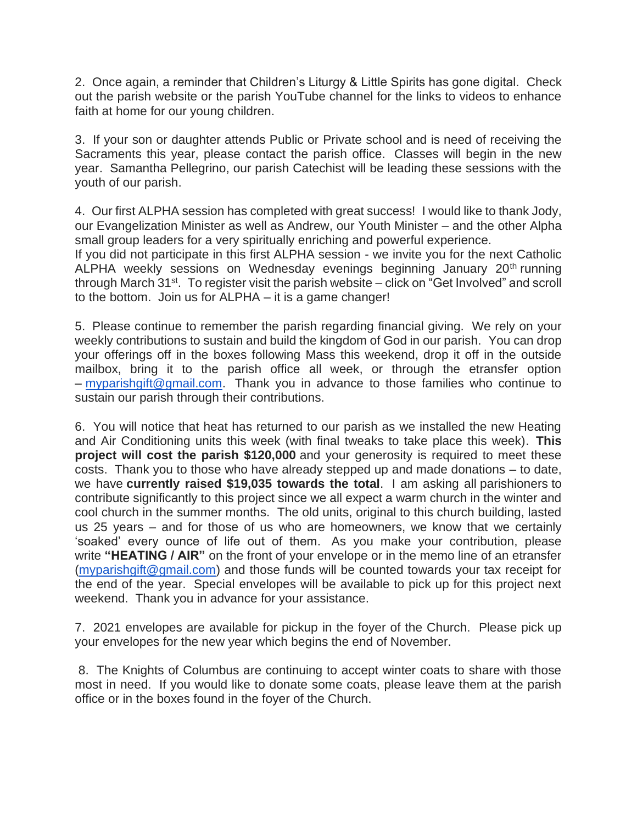2. Once again, a reminder that Children's Liturgy & Little Spirits has gone digital. Check out the parish website or the parish YouTube channel for the links to videos to enhance faith at home for our young children.

3. If your son or daughter attends Public or Private school and is need of receiving the Sacraments this year, please contact the parish office. Classes will begin in the new year. Samantha Pellegrino, our parish Catechist will be leading these sessions with the youth of our parish.

4. Our first ALPHA session has completed with great success! I would like to thank Jody, our Evangelization Minister as well as Andrew, our Youth Minister – and the other Alpha small group leaders for a very spiritually enriching and powerful experience.

If you did not participate in this first ALPHA session - we invite you for the next Catholic ALPHA weekly sessions on Wednesday evenings beginning January 20<sup>th</sup> running through March 31<sup>st</sup>. To register visit the parish website – click on "Get Involved" and scroll to the bottom. Join us for ALPHA – it is a game changer!

5. Please continue to remember the parish regarding financial giving. We rely on your weekly contributions to sustain and build the kingdom of God in our parish. You can drop your offerings off in the boxes following Mass this weekend, drop it off in the outside mailbox, bring it to the parish office all week, or through the etransfer option – [myparishgift@gmail.com.](mailto:myparishgift@gmail.com) Thank you in advance to those families who continue to sustain our parish through their contributions.

6. You will notice that heat has returned to our parish as we installed the new Heating and Air Conditioning units this week (with final tweaks to take place this week). **This project will cost the parish \$120,000** and your generosity is required to meet these costs. Thank you to those who have already stepped up and made donations – to date, we have **currently raised \$19,035 towards the total**. I am asking all parishioners to contribute significantly to this project since we all expect a warm church in the winter and cool church in the summer months. The old units, original to this church building, lasted us 25 years – and for those of us who are homeowners, we know that we certainly 'soaked' every ounce of life out of them. As you make your contribution, please write **"HEATING / AIR"** on the front of your envelope or in the memo line of an etransfer [\(myparishgift@gmail.com\)](mailto:myparishgift@gmail.com) and those funds will be counted towards your tax receipt for the end of the year. Special envelopes will be available to pick up for this project next weekend. Thank you in advance for your assistance.

7. 2021 envelopes are available for pickup in the foyer of the Church. Please pick up your envelopes for the new year which begins the end of November.

8. The Knights of Columbus are continuing to accept winter coats to share with those most in need. If you would like to donate some coats, please leave them at the parish office or in the boxes found in the foyer of the Church.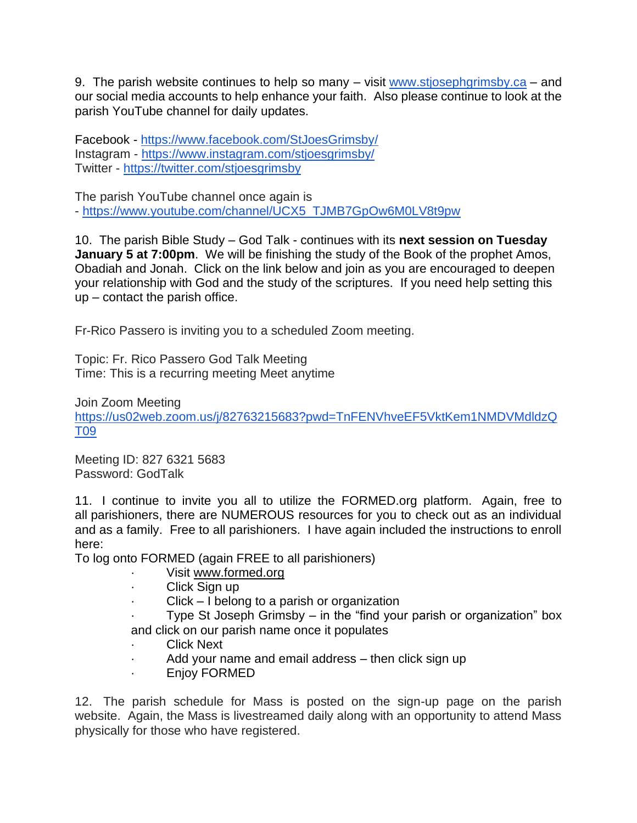9. The parish website continues to help so many – visit [www.stjosephgrimsby.ca](http://www.stjosephgrimsby.ca/) – and our social media accounts to help enhance your faith. Also please continue to look at the parish YouTube channel for daily updates.

Facebook - <https://www.facebook.com/StJoesGrimsby/> Instagram - <https://www.instagram.com/stjoesgrimsby/> Twitter - <https://twitter.com/stjoesgrimsby>

The parish YouTube channel once again is

- [https://www.youtube.com/channel/UCX5\\_TJMB7GpOw6M0LV8t9pw](https://www.youtube.com/channel/UCX5_TJMB7GpOw6M0LV8t9pw)

10. The parish Bible Study – God Talk - continues with its **next session on Tuesday January 5 at 7:00pm.** We will be finishing the study of the Book of the prophet Amos, Obadiah and Jonah. Click on the link below and join as you are encouraged to deepen your relationship with God and the study of the scriptures. If you need help setting this up – contact the parish office.

Fr-Rico Passero is inviting you to a scheduled Zoom meeting.

Topic: Fr. Rico Passero God Talk Meeting Time: This is a recurring meeting Meet anytime

Join Zoom Meeting [https://us02web.zoom.us/j/82763215683?pwd=TnFENVhveEF5VktKem1NMDVMdldzQ](https://us02web.zoom.us/j/82763215683?pwd=TnFENVhveEF5VktKem1NMDVMdldzQT09) [T09](https://us02web.zoom.us/j/82763215683?pwd=TnFENVhveEF5VktKem1NMDVMdldzQT09)

Meeting ID: 827 6321 5683 Password: GodTalk

11. I continue to invite you all to utilize the FORMED.org platform. Again, free to all parishioners, there are NUMEROUS resources for you to check out as an individual and as a family. Free to all parishioners. I have again included the instructions to enroll here:

To log onto FORMED (again FREE to all parishioners)

- · Visit [www.formed.org](http://www.formed.org/)
- Click Sign up
- $Click I belong to a parish or organization$

Type St Joseph Grimsby  $-$  in the "find your parish or organization" box and click on our parish name once it populates

- **Click Next**
- Add your name and email address then click sign up
- · Enjoy FORMED

12. The parish schedule for Mass is posted on the sign-up page on the parish website. Again, the Mass is livestreamed daily along with an opportunity to attend Mass physically for those who have registered.